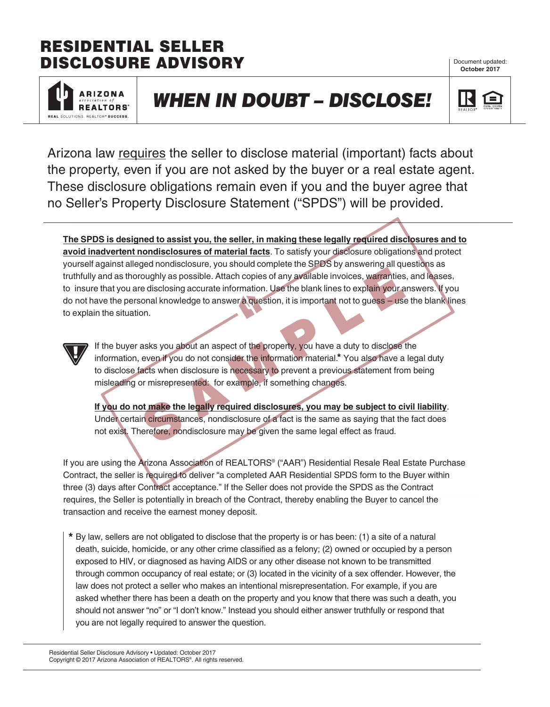## RESIDENTIAL SELLER DISCLOSURE ADVISORY





# *WHEN IN DOUBT – DISCLOSE!*



Arizona law requires the seller to disclose material (important) facts about the property, even if you are not asked by the buyer or a real estate agent. These disclosure obligations remain even if you and the buyer agree that no Seller's Property Disclosure Statement ("SPDS") will be provided.

**The SPDS is designed to assist you, the seller, in making these legally required disclosures and to avoid inadvertent nondisclosures of material facts**. To satisfy your disclosure obligations and protect yourself against alleged nondisclosure, you should complete the SPDS by answering all questions as truthfully and as thoroughly as possible. Attach copies of any available invoices, warranties, and leases, to insure that you are disclosing accurate information. Use the blank lines to explain your answers. If you do not have the personal knowledge to answer a question, it is important not to guess – use the blank lines to explain the situation.



If the buyer asks you about an aspect of the property, you have a duty to disclose the information, even if you do not consider the information material.**\*** You also have a legal duty to disclose facts when disclosure is necessary to prevent a previous statement from being misleading or misrepresented: for example, if something changes.

**If you do not make the legally required disclosures, you may be subject to civil liability**. Under certain circumstances, nondisclosure of a fact is the same as saying that the fact does not exist. Therefore, nondisclosure may be given the same legal effect as fraud.

If you are using the Arizona Association of REALTORS® ("AAR") Residential Resale Real Estate Purchase Contract, the seller is required to deliver "a completed AAR Residential SPDS form to the Buyer within three (3) days after Contract acceptance." If the Seller does not provide the SPDS as the Contract requires, the Seller is potentially in breach of the Contract, thereby enabling the Buyer to cancel the transaction and receive the earnest money deposit.

By law, sellers are not obligated to disclose that the property is or has been: (1) a site of a natural **\*** death, suicide, homicide, or any other crime classified as a felony; (2) owned or occupied by a person exposed to HIV, or diagnosed as having AIDS or any other disease not known to be transmitted through common occupancy of real estate; or (3) located in the vicinity of a sex offender. However, the law does not protect a seller who makes an intentional misrepresentation. For example, if you are asked whether there has been a death on the property and you know that there was such a death, you should not answer "no" or "I don't know." Instead you should either answer truthfully or respond that you are not legally required to answer the question.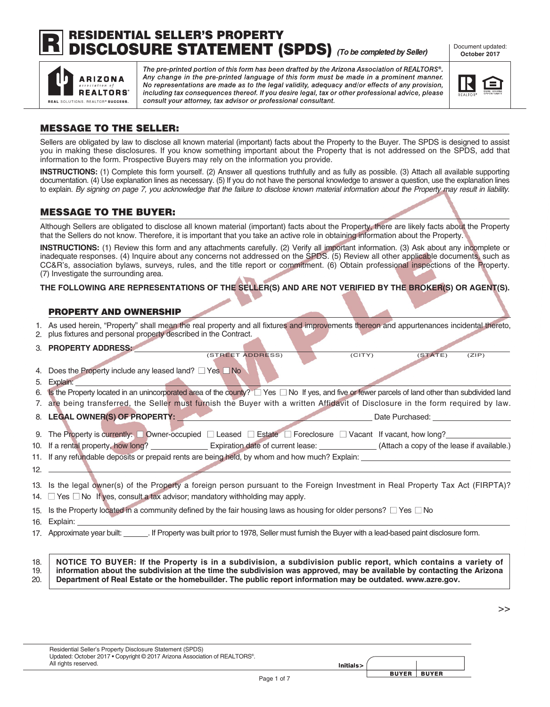### RESIDENTIAL SELLER'S PROPERTY<br>
DISCLOSURE STATEMENT (SPDS) (To be completed by Seller) | Document updated: RESIDENTIAL SELLER'S PROPERTY

**ARIZONA REALTORS** REAL SOLUTIONS. REALTOR® SUCCESS

The pre-printed portion of this form has been drafted by the Arizona Association of REALTORS®. Any change in the pre-printed language of this form must be made in a prominent manner. No representations are made as to the legal validity, adequacy and/or effects of any provision, including tax consequences thereof. If you desire legal, tax or other professional advice, please consult your attorney, tax advisor or professional consultant.

| October 2017 |  |
|--------------|--|
|              |  |

| EQUAL HOUSING<br>OPPORTUNITY<br>REALTOR® |  |
|------------------------------------------|--|
|------------------------------------------|--|

#### MESSAGE TO THE SELLER:

Sellers are obligated by law to disclose all known material (important) facts about the Property to the Buyer. The SPDS is designed to assist you in making these disclosures. If you know something important about the Property that is not addressed on the SPDS, add that information to the form. Prospective Buyers may rely on the information you provide.

**INSTRUCTIONS:** (1) Complete this form yourself. (2) Answer all questions truthfully and as fully as possible. (3) Attach all available supporting documentation. (4) Use explanation lines as necessary. (5) If you do not have the personal knowledge to answer a question, use the explanation lines to explain. *By signing on page 7, you acknowledge that the failure to disclose known material information about the Property may result in liability.*

#### MESSAGE TO THE BUYER:

Although Sellers are obligated to disclose all known material (important) facts about the Property, there are likely facts about the Property that the Sellers do not know. Therefore, it is important that you take an active role in obtaining information about the Property.

**INSTRUCTIONS:** (1) Review this form and any attachments carefully. (2) Verify all important information. (3) Ask about any incomplete or inadequate responses. (4) Inquire about any concerns not addressed on the SPDS. (5) Review all other applicable documents, such as CC&R's, association bylaws, surveys, rules, and the title report or commitment. (6) Obtain professional inspections of the Property. (7) Investigate the surrounding area.

#### **THE FOLLOWING ARE REPRESENTATIONS OF THE SELLER(S) AND ARE NOT VERIFIED BY THE BROKER(S) OR AGENT(S).**

#### PROPERTY AND OWNERSHIP

- 1. As used herein, "Property" shall mean the real property and all fixtures and improvements thereon and appurtenances incidental thereto,
- plus fixtures and personal property described in the Contract. 2.

3. PROPERTY ADDRESS:

|     | 3. PROPERTY ADDRESS:                                                                                                                                                                                                                                             |
|-----|------------------------------------------------------------------------------------------------------------------------------------------------------------------------------------------------------------------------------------------------------------------|
|     | (STREET ADDRESS)<br>(CITY)<br>(STATE)<br>(ZIP)                                                                                                                                                                                                                   |
|     | 4. Does the Property include any leased land? $\Box$ Yes $\Box$ No                                                                                                                                                                                               |
|     | 5. Explain:                                                                                                                                                                                                                                                      |
|     | 6. Is the Property located in an unincorporated area of the county? □ Yes □ No If yes, and five or fewer parcels of land other than subdivided land                                                                                                              |
|     | 7. are being transferred, the Seller must furnish the Buyer with a written Affidavit of Disclosure in the form required by law.                                                                                                                                  |
|     | 8. LEGAL OWNER(S) OF PROPERTY:<br>Date Purchased: Note that the property of the part of the state of the state of the state of the state of the state of the state of the state of the state of the state of the state of the state of the state of the state of |
|     | 9. The Property is currently: $\Box$ Owner-occupied $\Box$ Leased $\Box$ Estate $\Box$ Foreclosure $\Box$ Vacant If vacant, how long?                                                                                                                            |
|     | 10. If a rental property, how long? _____________________ Expiration date of current lease: ______________(Attach a copy of the lease if available.)                                                                                                             |
|     | 11. If any refundable deposits or prepaid rents are being held, by whom and how much? Explain:                                                                                                                                                                   |
| 12. |                                                                                                                                                                                                                                                                  |
|     | 13. Is the legal owner(s) of the Property a foreign person pursuant to the Foreign Investment in Real Property Tax Act (FIRPTA)?                                                                                                                                 |
|     | 14. $\Box$ Yes $\Box$ No If yes, consult a tax advisor; mandatory withholding may apply.                                                                                                                                                                         |
|     | 15. Is the Property located in a community defined by the fair housing laws as housing for older persons? $\Box$ Yes $\Box$ No                                                                                                                                   |

- Explain: 16.
- Approximate year built: .................. If Property was built prior to 1978, Seller must furnish the Buyer with a lead-based paint disclosure form. 17.

Initials> **BUYER BUYER** 

**NOTICE TO BUYER: If the Property is in a subdivision, a subdivision public report, which contains a variety of information about the subdivision at the time the subdivision was approved, may be available by contacting the Arizona Department of Real Estate or the homebuilder. The public report information may be outdated. www.azre.gov.** 18. 19. 20.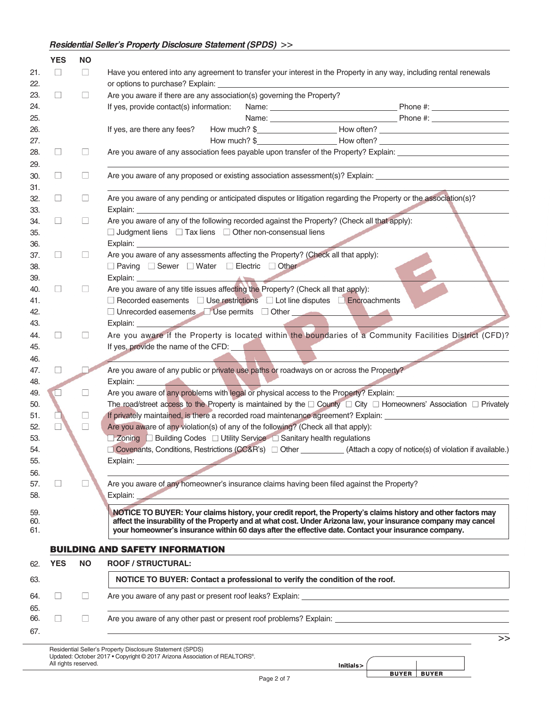|            | <b>YES</b>   | <b>NO</b>    |                                                                                                                                                                                                                                                                                                                                |
|------------|--------------|--------------|--------------------------------------------------------------------------------------------------------------------------------------------------------------------------------------------------------------------------------------------------------------------------------------------------------------------------------|
| 21.        | $\Box$       | $\Box$       | Have you entered into any agreement to transfer your interest in the Property in any way, including rental renewals                                                                                                                                                                                                            |
| 22.        |              |              |                                                                                                                                                                                                                                                                                                                                |
| 23.        | $\Box$       | ப            | Are you aware if there are any association(s) governing the Property?                                                                                                                                                                                                                                                          |
| 24.        |              |              | If yes, provide contact(s) information:                                                                                                                                                                                                                                                                                        |
| 25.        |              |              |                                                                                                                                                                                                                                                                                                                                |
| 26.        |              |              | If yes, are there any fees?                                                                                                                                                                                                                                                                                                    |
| 27.        |              |              | How much? \$_____________________________How often? ______________________________                                                                                                                                                                                                                                             |
| 28.        | ⊔            | $\sqcup$     | Are you aware of any association fees payable upon transfer of the Property? Explain: ________________________                                                                                                                                                                                                                 |
| 29.        |              |              |                                                                                                                                                                                                                                                                                                                                |
| 30.        | ⊔            | ப            | Are you aware of any proposed or existing association assessment(s)? Explain: ________________________________                                                                                                                                                                                                                 |
| 31.        |              |              |                                                                                                                                                                                                                                                                                                                                |
| 32.        | $\Box$       | ப            | Are you aware of any pending or anticipated disputes or litigation regarding the Property or the association(s)?                                                                                                                                                                                                               |
| 33.        |              |              | Explain: Explaint and the state of the state of the state of the state of the state of the state of the state of the state of the state of the state of the state of the state of the state of the state of the state of the s<br>Are you aware of any of the following recorded against the Property? (Check all that apply): |
| 34.        | $\Box$       | ப            |                                                                                                                                                                                                                                                                                                                                |
| 35.        |              |              | $\Box$ Judgment liens $\Box$ Tax liens $\Box$ Other non-consensual liens<br>Explain: The contract of the contract of the contract of the contract of the contract of the contract of the contract of the contract of the contract of the contract of the contract of the contract of the contract of the c                     |
| 36.<br>37. | $\Box$       | ப            | Are you aware of any assessments affecting the Property? (Check all that apply):                                                                                                                                                                                                                                               |
| 38.        |              |              | □ Paving □ Sewer □ Water □ Electric □ Other                                                                                                                                                                                                                                                                                    |
| 39.        |              |              |                                                                                                                                                                                                                                                                                                                                |
| 40.        | $\Box$       | ப            | Are you aware of any title issues affecting the Property? (Check all that apply):                                                                                                                                                                                                                                              |
| 41.        |              |              | $\Box$ Recorded easements $\Box$ Use restrictions $\Box$ Lot line disputes $\Box$ Encroachments                                                                                                                                                                                                                                |
| 42.        |              |              |                                                                                                                                                                                                                                                                                                                                |
| 43.        |              |              | Explain: <b>Explain:</b> The contract of the contract of the contract of the contract of the contract of the contract of the contract of the contract of the contract of the contract of the contract of the contract of the contra                                                                                            |
| 44.        | $\mathbf{L}$ | $\mathsf{L}$ | Are you aware if the Property is located within the boundaries of a Community Facilities District (CFD)?                                                                                                                                                                                                                       |
| 45.        |              |              | If yes, provide the name of the CFD:                                                                                                                                                                                                                                                                                           |
| 46.        |              |              |                                                                                                                                                                                                                                                                                                                                |
| 47.        | $\Box$       |              | Are you aware of any public or private use paths or roadways on or across the Property?                                                                                                                                                                                                                                        |
| 48.        |              |              | Explain: <b>Explain:</b>                                                                                                                                                                                                                                                                                                       |
| 49.        |              | ப            | Are you aware of any problems with legal or physical access to the Property? Explain: ________________________                                                                                                                                                                                                                 |
| 50.        |              |              | The road/street access to the Property is maintained by the $\Box$ County $\Box$ City $\Box$ Homeowners' Association $\Box$ Privately                                                                                                                                                                                          |
| 51.        |              | ⊔            | If privately maintained, is there a recorded road maintenance agreement? Explain:                                                                                                                                                                                                                                              |
| 52.        |              | П            | Are you aware of any violation(s) of any of the following? (Check all that apply):                                                                                                                                                                                                                                             |
| 53.        |              |              | $\Box$ Zoning $\Box$ Building Codes $\Box$ Utility Service $\Box$ Sanitary health regulations                                                                                                                                                                                                                                  |
| 54.        |              |              |                                                                                                                                                                                                                                                                                                                                |
| 55.        |              |              |                                                                                                                                                                                                                                                                                                                                |
| 56.        |              |              |                                                                                                                                                                                                                                                                                                                                |
| 57.        | $\Box$       |              | Are you aware of any homeowner's insurance claims having been filed against the Property?                                                                                                                                                                                                                                      |
| 58.        |              |              | Explain:                                                                                                                                                                                                                                                                                                                       |
| 59.        |              |              | NOTICE TO BUYER: Your claims history, your credit report, the Property's claims history and other factors may                                                                                                                                                                                                                  |
| 60.        |              |              | affect the insurability of the Property and at what cost. Under Arizona law, your insurance company may cancel                                                                                                                                                                                                                 |
| 61.        |              |              | your homeowner's insurance within 60 days after the effective date. Contact your insurance company.                                                                                                                                                                                                                            |
|            |              |              | <b>BUILDING AND SAFETY INFORMATION</b>                                                                                                                                                                                                                                                                                         |
| 62.        | <b>YES</b>   | <b>NO</b>    | <b>ROOF / STRUCTURAL:</b>                                                                                                                                                                                                                                                                                                      |
| 63.        |              |              | NOTICE TO BUYER: Contact a professional to verify the condition of the roof.                                                                                                                                                                                                                                                   |
| 64.        | $\Box$       | $\Box$       |                                                                                                                                                                                                                                                                                                                                |
| 65.        |              |              |                                                                                                                                                                                                                                                                                                                                |
| 66.        | $\perp$      | ப            | Are you aware of any other past or present roof problems? Explain: _________________________________                                                                                                                                                                                                                           |
| 67.        |              |              |                                                                                                                                                                                                                                                                                                                                |
|            |              |              | ><br>Residential Seller's Property Disclosure Statement (SPDS)                                                                                                                                                                                                                                                                 |

Residential Seller's Property Disclosure Statement (SPDS) Updated: October 2017 • Copyright © 2017 Arizona Association of REALTORS®. All rights reserved.

Initials> BUYER BUYER

Page 2 of 7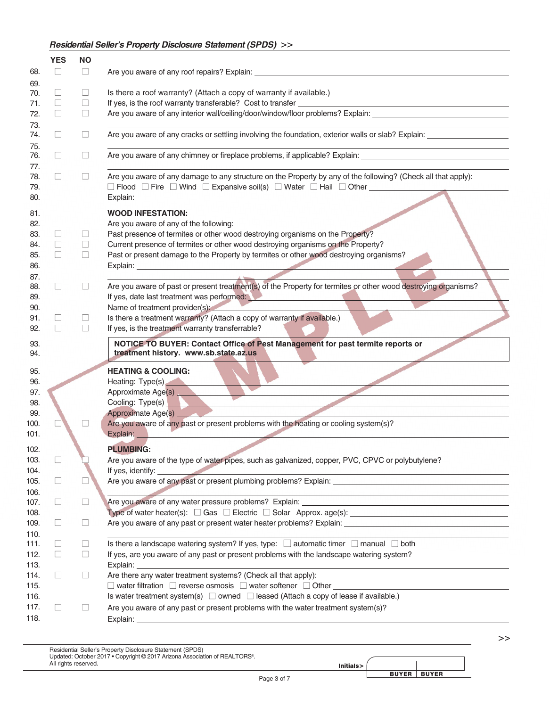|      | <b>YES</b> | <b>NO</b> |                                                                                                                  |
|------|------------|-----------|------------------------------------------------------------------------------------------------------------------|
| 68.  | $\Box$     | Ш         |                                                                                                                  |
| 69.  |            |           |                                                                                                                  |
| 70.  | $\Box$     | ⊔         | Is there a roof warranty? (Attach a copy of warranty if available.)                                              |
| 71.  | $\Box$     | ப         | If yes, is the roof warranty transferable? Cost to transfer __                                                   |
| 72.  | $\Box$     | $\Box$    | Are you aware of any interior wall/ceiling/door/window/floor problems? Explain: ______________________________   |
| 73.  |            |           |                                                                                                                  |
| 74.  | $\Box$     | $\Box$    | Are you aware of any cracks or settling involving the foundation, exterior walls or slab? Explain: _____________ |
| 75.  |            |           |                                                                                                                  |
| 76.  | ⊔          | ⊔         | Are you aware of any chimney or fireplace problems, if applicable? Explain: ________________________             |
| 77.  |            |           |                                                                                                                  |
| 78.  | ш          | ш         | Are you aware of any damage to any structure on the Property by any of the following? (Check all that apply):    |
| 79.  |            |           | □ Flood □ Fire □ Wind □ Expansive soil(s) □ Water □ Hail □ Other ___________                                     |
| 80.  |            |           |                                                                                                                  |
| 81.  |            |           | <b>WOOD INFESTATION:</b>                                                                                         |
| 82.  |            |           | Are you aware of any of the following:                                                                           |
| 83.  | $\Box$     | ப         | Past presence of termites or other wood destroying organisms on the Property?                                    |
| 84.  | Ш          | $\Box$    | Current presence of termites or other wood destroying organisms on the Property?                                 |
| 85.  | П          | Ш         | Past or present damage to the Property by termites or other wood destroying organisms?                           |
| 86.  |            |           |                                                                                                                  |
| 87.  |            |           |                                                                                                                  |
| 88.  | $\perp$    | ш         | Are you aware of past or present treatment(s) of the Property for termites or other wood destroying organisms?   |
| 89.  |            |           | If yes, date last treatment was performed:<br>the contract of the contract of the contract of                    |
| 90.  |            |           | Name of treatment provider(s):                                                                                   |
| 91.  | $\Box$     | ⊔         | Is there a treatment warranty? (Attach a copy of warranty if available.)                                         |
| 92.  | $\Box$     | Ш         | If yes, is the treatment warranty transferrable?                                                                 |
| 93.  |            |           | NOTICE TO BUYER: Contact Office of Pest Management for past termite reports or                                   |
| 94.  |            |           | treatment history. www.sb.state.az.us                                                                            |
|      |            |           |                                                                                                                  |
| 95.  |            |           | <b>HEATING &amp; COOLING:</b>                                                                                    |
| 96.  |            |           | Heating: Type(s)                                                                                                 |
| 97.  |            |           | Approximate Age(s)                                                                                               |
| 98.  |            |           | Cooling: Type(s)                                                                                                 |
| 99.  |            |           | Approximate Age(s) _                                                                                             |
| 100. |            |           | Are you aware of any past or present problems with the heating or cooling system(s)?                             |
| 101. |            |           | Explain:                                                                                                         |
| 102. |            |           | <b>PLUMBING:</b>                                                                                                 |
| 103. | $\Box$     |           | Are you aware of the type of water pipes, such as galvanized, copper, PVC, CPVC or polybutylene?                 |
| 104. |            |           | If yes, identify:                                                                                                |
| 105. | $\Box$     |           |                                                                                                                  |
| 106. |            |           | <u> 1989 - Johann Stoff, amerikansk politiker (* 1908)</u>                                                       |
| 107. | $\Box$     | $\Box$    |                                                                                                                  |
| 108. |            |           |                                                                                                                  |
| 109. | $\Box$     | $\Box$    | Are you aware of any past or present water heater problems? Explain: _______________________________             |
| 110. |            |           |                                                                                                                  |
| 111. | $\Box$     | ⊔         | Is there a landscape watering system? If yes, type: $\square$ automatic timer $\square$ manual $\square$ both    |
| 112. | П          | $\Box$    | If yes, are you aware of any past or present problems with the landscape watering system?                        |
| 113. |            |           |                                                                                                                  |
| 114. | $\Box$     | $\Box$    | Are there any water treatment systems? (Check all that apply):                                                   |
| 115. |            |           | $\Box$ water filtration $\Box$ reverse osmosis $\Box$ water softener $\Box$ Other                                |
| 116. |            |           | Is water treatment system(s) $\Box$ owned $\Box$ leased (Attach a copy of lease if available.)                   |
| 117. |            |           | Are you aware of any past or present problems with the water treatment system(s)?                                |
| 118. |            |           |                                                                                                                  |
|      |            |           |                                                                                                                  |

Residential Seller's Property Disclosure Statement (SPDS) Updated: October 2017 • Copyright © 2017 Arizona Association of REALTORS®.

All rights reserved.

Initials> **BUYER BUYER**  >>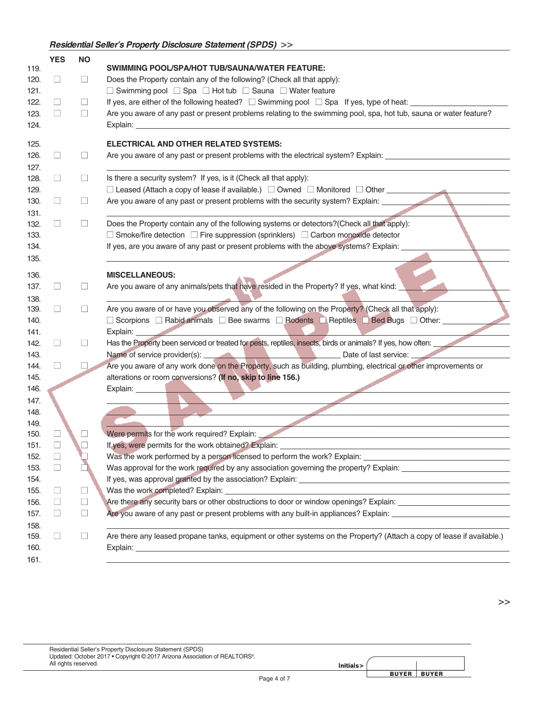|      | <b>YES</b>        | <b>NO</b> |                                                                                                                                                                                                                                |
|------|-------------------|-----------|--------------------------------------------------------------------------------------------------------------------------------------------------------------------------------------------------------------------------------|
| 119. |                   |           | SWIMMING POOL/SPA/HOT TUB/SAUNA/WATER FEATURE:                                                                                                                                                                                 |
| 120. | $\Box$            | ⊔         | Does the Property contain any of the following? (Check all that apply):                                                                                                                                                        |
| 121. |                   |           | $\Box$ Swimming pool $\Box$ Spa $\Box$ Hot tub $\Box$ Sauna $\Box$ Water feature                                                                                                                                               |
| 122. | ப                 | ⊔         | If yes, are either of the following heated? $\square$ Swimming pool $\square$ Spa If yes, type of heat: $\square$                                                                                                              |
| 123. | $\Box$            | ⊔         | Are you aware of any past or present problems relating to the swimming pool, spa, hot tub, sauna or water feature?                                                                                                             |
| 124. |                   |           |                                                                                                                                                                                                                                |
|      |                   |           |                                                                                                                                                                                                                                |
| 125. |                   |           | ELECTRICAL AND OTHER RELATED SYSTEMS:                                                                                                                                                                                          |
| 126. | $\Box$            | ⊔         | Are you aware of any past or present problems with the electrical system? Explain: _                                                                                                                                           |
| 127. |                   |           |                                                                                                                                                                                                                                |
| 128. | $\perp$           | ⊔         | Is there a security system? If yes, is it (Check all that apply):                                                                                                                                                              |
| 129. |                   |           | $\Box$ Leased (Attach a copy of lease if available.) $\Box$ Owned $\Box$ Monitored $\Box$ Other $\Box$                                                                                                                         |
| 130. | □                 | $\Box$    | Are you aware of any past or present problems with the security system? Explain: _                                                                                                                                             |
| 131. |                   |           |                                                                                                                                                                                                                                |
| 132. | ப                 | ⊔         | Does the Property contain any of the following systems or detectors?(Check all that apply):                                                                                                                                    |
| 133. |                   |           | $\Box$ Smoke/fire detection $\Box$ Fire suppression (sprinklers) $\Box$ Carbon monoxide detector                                                                                                                               |
| 134. |                   |           | If yes, are you aware of any past or present problems with the above systems? Explain:                                                                                                                                         |
| 135. |                   |           |                                                                                                                                                                                                                                |
|      |                   |           |                                                                                                                                                                                                                                |
| 136. |                   |           | <b>MISCELLANEOUS:</b>                                                                                                                                                                                                          |
| 137. | ப                 | ⊔         | Are you aware of any animals/pets that have resided in the Property? If yes, what kind:                                                                                                                                        |
| 138. |                   |           |                                                                                                                                                                                                                                |
| 139. | $\vert \ \ \vert$ | ⊔         | Are you aware of or have you observed any of the following on the Property? (Check all that apply):                                                                                                                            |
| 140. |                   |           | $\Box$ Scorpions $\Box$ Rabid animals $\Box$ Bee swarms $\Box$ Rodents $\Box$ Reptiles $\Box$ Bed Bugs $\Box$ Other: $\Box$                                                                                                    |
| 141. |                   |           | Explain: ____                                                                                                                                                                                                                  |
| 142. | ப                 | ⊔         | Has the Property been serviced or treated for pests, reptiles, insects, birds or animals? If yes, how often:                                                                                                                   |
| 143. |                   |           | Name of service provider(s):<br>Date of last service:                                                                                                                                                                          |
| 144. | Ш                 |           | Are you aware of any work done on the Property, such as building, plumbing, electrical or other improvements or                                                                                                                |
| 145. |                   |           | alterations or room conversions? (If no, skip to line 156.)                                                                                                                                                                    |
| 146. |                   |           | Explain: ______                                                                                                                                                                                                                |
| 147. |                   |           |                                                                                                                                                                                                                                |
| 148. |                   |           |                                                                                                                                                                                                                                |
| 149. |                   |           |                                                                                                                                                                                                                                |
| 150. |                   | $\Box$    | Were permits for the work required? Explain:                                                                                                                                                                                   |
| 151. |                   |           | If yes, were permits for the work obtained? Explain: _                                                                                                                                                                         |
| 152. | $\Box$            | $\Box$    |                                                                                                                                                                                                                                |
| 153. | □                 |           | Was approval for the work required by any association governing the property? Explain: _______________________                                                                                                                 |
| 154. |                   |           |                                                                                                                                                                                                                                |
| 155. | ⊔                 | $\Box$    |                                                                                                                                                                                                                                |
| 156. | $\Box$            | $\Box$    | Are there any security bars or other obstructions to door or window openings? Explain: _______________________                                                                                                                 |
| 157. | ш                 | $\Box$    | Are you aware of any past or present problems with any built-in appliances? Explain: _________________________                                                                                                                 |
| 158. |                   |           |                                                                                                                                                                                                                                |
| 159. | $\Box$            | $\Box$    | Are there any leased propane tanks, equipment or other systems on the Property? (Attach a copy of lease if available.)                                                                                                         |
| 160. |                   |           | Explain: The contract of the contract of the contract of the contract of the contract of the contract of the contract of the contract of the contract of the contract of the contract of the contract of the contract of the c |
| 161. |                   |           |                                                                                                                                                                                                                                |

Initials>

BUYER BUYER

Page 4 of 7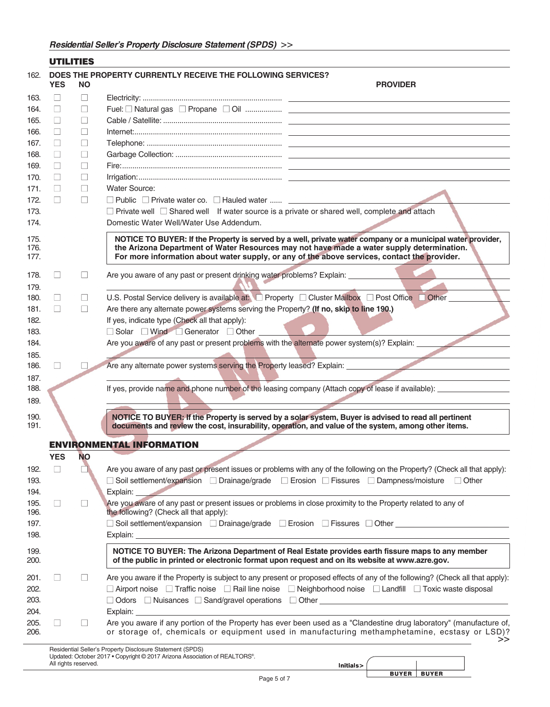#### UTILITIES

| 162.                 | <b>YES</b>               | <b>NO</b>            | DOES THE PROPERTY CURRENTLY RECEIVE THE FOLLOWING SERVICES?<br><b>PROVIDER</b>                                                                                                                                                                                                                          |
|----------------------|--------------------------|----------------------|---------------------------------------------------------------------------------------------------------------------------------------------------------------------------------------------------------------------------------------------------------------------------------------------------------|
| 163.                 | Ш                        | $\Box$               |                                                                                                                                                                                                                                                                                                         |
| 164.                 | $\Box$                   | ப                    |                                                                                                                                                                                                                                                                                                         |
| 165.                 | $\perp$                  |                      |                                                                                                                                                                                                                                                                                                         |
| 166.                 | $\perp$                  |                      |                                                                                                                                                                                                                                                                                                         |
| 167.                 | $\perp$                  | $\Box$               |                                                                                                                                                                                                                                                                                                         |
| 168.                 | $\perp$                  | ⊔                    |                                                                                                                                                                                                                                                                                                         |
| 169.                 | $\perp$                  | ш                    |                                                                                                                                                                                                                                                                                                         |
| 170.                 | $\perp$                  | $\mathbf{L}$         |                                                                                                                                                                                                                                                                                                         |
| 171.                 |                          | $\mathbf{L}$         | <b>Water Source:</b>                                                                                                                                                                                                                                                                                    |
| 172.                 |                          |                      | □ Public □ Private water co. □ Hauled water  _____________________________                                                                                                                                                                                                                              |
| 173.                 |                          |                      | □ Private well □ Shared well If water source is a private or shared well, complete and attach                                                                                                                                                                                                           |
| 174.                 |                          |                      | Domestic Water Well/Water Use Addendum.                                                                                                                                                                                                                                                                 |
| 175.<br>176.<br>177. |                          |                      | NOTICE TO BUYER: If the Property is served by a well, private water company or a municipal water provider,<br>the Arizona Department of Water Resources may not have made a water supply determination.<br>For more information about water supply, or any of the above services, contact the provider. |
| 178.<br>179.         | $\overline{\phantom{0}}$ |                      | Are you aware of any past or present drinking water problems? Explain: __________                                                                                                                                                                                                                       |
| 180.                 | $\mathsf{L}$             | $\mathbf{L}$         | U.S. Postal Service delivery is available at: □ Property □ Cluster Mailbox □ Post Office □ Other                                                                                                                                                                                                        |
| 181.                 |                          |                      | Are there any alternate power systems serving the Property? (If no, skip to line 190.)                                                                                                                                                                                                                  |
| 182.                 |                          |                      | If yes, indicate type (Check all that apply):                                                                                                                                                                                                                                                           |
| 183.                 |                          |                      | □ Solar □ Wind □ Generator □ Other                                                                                                                                                                                                                                                                      |
| 184.                 |                          |                      | Are you aware of any past or present problems with the alternate power system(s)? Explain:                                                                                                                                                                                                              |
| 185.                 |                          |                      |                                                                                                                                                                                                                                                                                                         |
| 186.                 | $\overline{\phantom{0}}$ |                      | Are any alternate power systems serving the Property leased? Explain: __________                                                                                                                                                                                                                        |
| 187.                 |                          |                      |                                                                                                                                                                                                                                                                                                         |
| 188.                 |                          |                      | If yes, provide name and phone number of the leasing company (Attach copy of lease if available): ____________                                                                                                                                                                                          |
| 189.                 |                          |                      |                                                                                                                                                                                                                                                                                                         |
| 190.<br>191.         |                          |                      | NOTICE TO BUYER: If the Property is served by a solar system, Buyer is advised to read all pertinent<br>documents and review the cost, insurability, operation, and value of the system, among other items.                                                                                             |
|                      |                          |                      | <b>ENVIRONMENTAL INFORMATION</b>                                                                                                                                                                                                                                                                        |
|                      | <b>YES</b>               | <b>NO</b>            |                                                                                                                                                                                                                                                                                                         |
| 192.                 |                          |                      | Are you aware of any past or present issues or problems with any of the following on the Property? (Check all that apply):                                                                                                                                                                              |
| 193.                 |                          |                      | □ Soil settlement/expansion □ Drainage/grade □ Erosion □ Fissures □ Dampness/moisture □ Other                                                                                                                                                                                                           |
| 194.                 |                          |                      | Explain:                                                                                                                                                                                                                                                                                                |
| 195.                 | $\mathsf{L}$             |                      | Are you aware of any past or present issues or problems in close proximity to the Property related to any of                                                                                                                                                                                            |
| 196.                 |                          |                      | the following? (Check all that apply):                                                                                                                                                                                                                                                                  |
| 197.                 |                          |                      | □ Soil settlement/expansion □ Drainage/grade □ Erosion □ Fissures □ Other ________________________                                                                                                                                                                                                      |
| 198.                 |                          |                      |                                                                                                                                                                                                                                                                                                         |
| 199.<br>200.         |                          |                      | NOTICE TO BUYER: The Arizona Department of Real Estate provides earth fissure maps to any member<br>of the public in printed or electronic format upon request and on its website at www.azre.gov.                                                                                                      |
| 201.                 | $\mathbf{I}$             | $\mathbf{1}$         | Are you aware if the Property is subject to any present or proposed effects of any of the following? (Check all that apply):                                                                                                                                                                            |
| 202.                 |                          |                      | $\Box$ Airport noise $\Box$ Traffic noise $\Box$ Rail line noise $\Box$ Neighborhood noise $\Box$ Landfill $\Box$ Toxic waste disposal                                                                                                                                                                  |
| 203.                 |                          |                      | $\Box$ Odors $\Box$ Nuisances $\Box$ Sand/gravel operations $\Box$ Other $\Box$                                                                                                                                                                                                                         |
| 204.                 |                          |                      | Explain:                                                                                                                                                                                                                                                                                                |
| 205.                 |                          |                      | Are you aware if any portion of the Property has ever been used as a "Clandestine drug laboratory" (manufacture of,                                                                                                                                                                                     |
| 206.                 |                          |                      | or storage of, chemicals or equipment used in manufacturing methamphetamine, ecstasy or LSD)?<br>>>                                                                                                                                                                                                     |
|                      |                          |                      | Residential Seller's Property Disclosure Statement (SPDS)                                                                                                                                                                                                                                               |
|                      |                          | All rights reserved. | Updated: October 2017 . Copyright © 2017 Arizona Association of REALTORS®.<br>Initials>                                                                                                                                                                                                                 |
|                      |                          |                      | <b>BUYER BUYER</b>                                                                                                                                                                                                                                                                                      |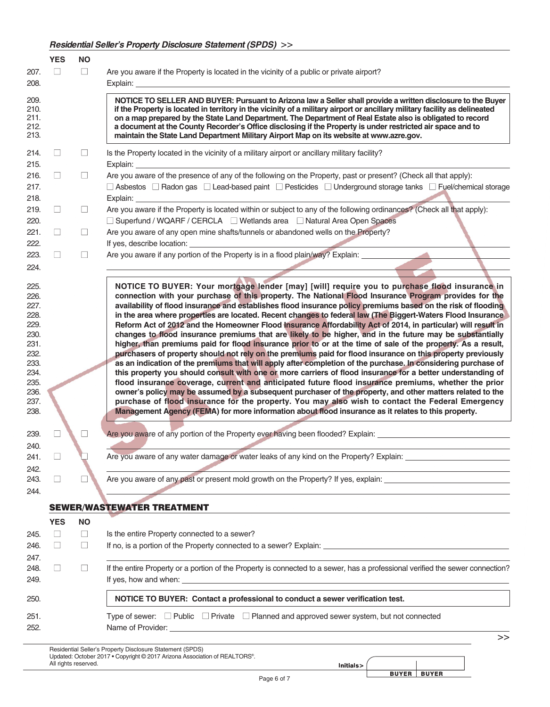|                                                                                                              | <b>YES</b>      | <b>NO</b>    |                                                                                                                                                                                                                                                                                                                                                                                                                                                                                                                                                                                                                                                                                                                                                                                                                                                                                                                                                                                                                                                                                                                                                                                                                                                                                                                                                                                                                                                                                                                                                                    |
|--------------------------------------------------------------------------------------------------------------|-----------------|--------------|--------------------------------------------------------------------------------------------------------------------------------------------------------------------------------------------------------------------------------------------------------------------------------------------------------------------------------------------------------------------------------------------------------------------------------------------------------------------------------------------------------------------------------------------------------------------------------------------------------------------------------------------------------------------------------------------------------------------------------------------------------------------------------------------------------------------------------------------------------------------------------------------------------------------------------------------------------------------------------------------------------------------------------------------------------------------------------------------------------------------------------------------------------------------------------------------------------------------------------------------------------------------------------------------------------------------------------------------------------------------------------------------------------------------------------------------------------------------------------------------------------------------------------------------------------------------|
| 207.<br>208.                                                                                                 | $\mathsf{I}$    | $\mathbf{1}$ | Are you aware if the Property is located in the vicinity of a public or private airport?                                                                                                                                                                                                                                                                                                                                                                                                                                                                                                                                                                                                                                                                                                                                                                                                                                                                                                                                                                                                                                                                                                                                                                                                                                                                                                                                                                                                                                                                           |
| 209.<br>210.<br>211.<br>212.<br>213.                                                                         |                 |              | NOTICE TO SELLER AND BUYER: Pursuant to Arizona law a Seller shall provide a written disclosure to the Buyer<br>if the Property is located in territory in the vicinity of a military airport or ancillary military facility as delineated<br>on a map prepared by the State Land Department. The Department of Real Estate also is obligated to record<br>a document at the County Recorder's Office disclosing if the Property is under restricted air space and to<br>maintain the State Land Department Military Airport Map on its website at www.azre.gov.                                                                                                                                                                                                                                                                                                                                                                                                                                                                                                                                                                                                                                                                                                                                                                                                                                                                                                                                                                                                   |
| 214.                                                                                                         |                 | $\Box$       | Is the Property located in the vicinity of a military airport or ancillary military facility?                                                                                                                                                                                                                                                                                                                                                                                                                                                                                                                                                                                                                                                                                                                                                                                                                                                                                                                                                                                                                                                                                                                                                                                                                                                                                                                                                                                                                                                                      |
| 215.                                                                                                         |                 |              |                                                                                                                                                                                                                                                                                                                                                                                                                                                                                                                                                                                                                                                                                                                                                                                                                                                                                                                                                                                                                                                                                                                                                                                                                                                                                                                                                                                                                                                                                                                                                                    |
| 216.<br>217.<br>218.                                                                                         |                 | $\perp$      | Are you aware of the presence of any of the following on the Property, past or present? (Check all that apply):<br>$\Box$ Asbestos $\Box$ Radon gas $\Box$ Lead-based paint $\Box$ Pesticides $\Box$ Underground storage tanks $\Box$ Fuel/chemical storage                                                                                                                                                                                                                                                                                                                                                                                                                                                                                                                                                                                                                                                                                                                                                                                                                                                                                                                                                                                                                                                                                                                                                                                                                                                                                                        |
| 219.                                                                                                         |                 | $\perp$      | Are you aware if the Property is located within or subject to any of the following ordinances? (Check all that apply):                                                                                                                                                                                                                                                                                                                                                                                                                                                                                                                                                                                                                                                                                                                                                                                                                                                                                                                                                                                                                                                                                                                                                                                                                                                                                                                                                                                                                                             |
| 220.                                                                                                         |                 |              | □ Superfund / WQARF / CERCLA □ Wetlands area □ Natural Area Open Spaces                                                                                                                                                                                                                                                                                                                                                                                                                                                                                                                                                                                                                                                                                                                                                                                                                                                                                                                                                                                                                                                                                                                                                                                                                                                                                                                                                                                                                                                                                            |
| 221.<br>222.                                                                                                 | $\mathbf{1}$    | $\Box$       | Are you aware of any open mine shafts/tunnels or abandoned wells on the Property?                                                                                                                                                                                                                                                                                                                                                                                                                                                                                                                                                                                                                                                                                                                                                                                                                                                                                                                                                                                                                                                                                                                                                                                                                                                                                                                                                                                                                                                                                  |
| 223.                                                                                                         | $\mathbf{1}$    | $\Box$       | Are you aware if any portion of the Property is in a flood plain/way? Explain:                                                                                                                                                                                                                                                                                                                                                                                                                                                                                                                                                                                                                                                                                                                                                                                                                                                                                                                                                                                                                                                                                                                                                                                                                                                                                                                                                                                                                                                                                     |
| 224.                                                                                                         |                 |              |                                                                                                                                                                                                                                                                                                                                                                                                                                                                                                                                                                                                                                                                                                                                                                                                                                                                                                                                                                                                                                                                                                                                                                                                                                                                                                                                                                                                                                                                                                                                                                    |
|                                                                                                              |                 |              |                                                                                                                                                                                                                                                                                                                                                                                                                                                                                                                                                                                                                                                                                                                                                                                                                                                                                                                                                                                                                                                                                                                                                                                                                                                                                                                                                                                                                                                                                                                                                                    |
| 225.<br>226.<br>227.<br>228.<br>229.<br>230.<br>231.<br>232.<br>233.<br>234.<br>235.<br>236.<br>237.<br>238. |                 |              | NOTICE TO BUYER: Your mortgage lender [may] [will] require you to purchase flood insurance in<br>connection with your purchase of this property. The National Flood Insurance Program provides for the<br>availability of flood insurance and establishes flood insurance policy premiums based on the risk of flooding<br>in the area where properties are located. Recent changes to federal law (The Biggert-Waters Flood Insurance<br>Reform Act of 2012 and the Homeowner Flood Insurance Affordability Act of 2014, in particular) will result in<br>changes to flood insurance premiums that are likely to be higher, and in the future may be substantially<br>higher, than premiums paid for flood insurance prior to or at the time of sale of the property. As a result,<br>purchasers of property should not rely on the premiums paid for flood insurance on this property previously<br>as an indication of the premiums that will apply after completion of the purchase. In considering purchase of<br>this property you should consult with one or more carriers of flood insurance for a better understanding of<br>flood insurance coverage, current and anticipated future flood insurance premiums, whether the prior<br>owner's policy may be assumed by a subsequent purchaser of the property, and other matters related to the<br>purchase of flood insurance for the property. You may also wish to contact the Federal Emergency<br>Management Agency (FEMA) for more information about flood insurance as it relates to this property. |
| 239.<br>240.                                                                                                 |                 | $\Box$       | Are you aware of any portion of the Property ever having been flooded? Explain: ______________                                                                                                                                                                                                                                                                                                                                                                                                                                                                                                                                                                                                                                                                                                                                                                                                                                                                                                                                                                                                                                                                                                                                                                                                                                                                                                                                                                                                                                                                     |
| 241.                                                                                                         | $\Box$          |              | Are you aware of any water damage or water leaks of any kind on the Property? Explain: _______________________                                                                                                                                                                                                                                                                                                                                                                                                                                                                                                                                                                                                                                                                                                                                                                                                                                                                                                                                                                                                                                                                                                                                                                                                                                                                                                                                                                                                                                                     |
| 242.                                                                                                         |                 |              |                                                                                                                                                                                                                                                                                                                                                                                                                                                                                                                                                                                                                                                                                                                                                                                                                                                                                                                                                                                                                                                                                                                                                                                                                                                                                                                                                                                                                                                                                                                                                                    |
| 243.<br>244.                                                                                                 |                 |              | Are you aware of any past or present mold growth on the Property? If yes, explain: ___________________________                                                                                                                                                                                                                                                                                                                                                                                                                                                                                                                                                                                                                                                                                                                                                                                                                                                                                                                                                                                                                                                                                                                                                                                                                                                                                                                                                                                                                                                     |
|                                                                                                              |                 |              |                                                                                                                                                                                                                                                                                                                                                                                                                                                                                                                                                                                                                                                                                                                                                                                                                                                                                                                                                                                                                                                                                                                                                                                                                                                                                                                                                                                                                                                                                                                                                                    |
|                                                                                                              |                 |              | <b>SEWER/WASTEWATER TREATMENT</b>                                                                                                                                                                                                                                                                                                                                                                                                                                                                                                                                                                                                                                                                                                                                                                                                                                                                                                                                                                                                                                                                                                                                                                                                                                                                                                                                                                                                                                                                                                                                  |
|                                                                                                              | <b>YES</b>      | <b>NO</b>    |                                                                                                                                                                                                                                                                                                                                                                                                                                                                                                                                                                                                                                                                                                                                                                                                                                                                                                                                                                                                                                                                                                                                                                                                                                                                                                                                                                                                                                                                                                                                                                    |
| 245.                                                                                                         | $\Box$          | $\Box$       | Is the entire Property connected to a sewer?                                                                                                                                                                                                                                                                                                                                                                                                                                                                                                                                                                                                                                                                                                                                                                                                                                                                                                                                                                                                                                                                                                                                                                                                                                                                                                                                                                                                                                                                                                                       |
| 246.                                                                                                         | $\vert$ $\vert$ | $\Box$       | If no, is a portion of the Property connected to a sewer? Explain: <b>Example 2014</b> The second service of the Property connected to a sewer? Explain:                                                                                                                                                                                                                                                                                                                                                                                                                                                                                                                                                                                                                                                                                                                                                                                                                                                                                                                                                                                                                                                                                                                                                                                                                                                                                                                                                                                                           |
| 247.                                                                                                         |                 |              |                                                                                                                                                                                                                                                                                                                                                                                                                                                                                                                                                                                                                                                                                                                                                                                                                                                                                                                                                                                                                                                                                                                                                                                                                                                                                                                                                                                                                                                                                                                                                                    |
| 248.<br>249.                                                                                                 | $\mathbf{1}$    | $\Box$       | If the entire Property or a portion of the Property is connected to a sewer, has a professional verified the sewer connection?                                                                                                                                                                                                                                                                                                                                                                                                                                                                                                                                                                                                                                                                                                                                                                                                                                                                                                                                                                                                                                                                                                                                                                                                                                                                                                                                                                                                                                     |
| 250.                                                                                                         |                 |              | NOTICE TO BUYER: Contact a professional to conduct a sewer verification test.                                                                                                                                                                                                                                                                                                                                                                                                                                                                                                                                                                                                                                                                                                                                                                                                                                                                                                                                                                                                                                                                                                                                                                                                                                                                                                                                                                                                                                                                                      |
| 251.                                                                                                         |                 |              | Type of sewer: $\Box$ Public $\Box$ Private $\Box$ Planned and approved sewer system, but not connected                                                                                                                                                                                                                                                                                                                                                                                                                                                                                                                                                                                                                                                                                                                                                                                                                                                                                                                                                                                                                                                                                                                                                                                                                                                                                                                                                                                                                                                            |
| 252.                                                                                                         |                 |              |                                                                                                                                                                                                                                                                                                                                                                                                                                                                                                                                                                                                                                                                                                                                                                                                                                                                                                                                                                                                                                                                                                                                                                                                                                                                                                                                                                                                                                                                                                                                                                    |
|                                                                                                              |                 |              | >>                                                                                                                                                                                                                                                                                                                                                                                                                                                                                                                                                                                                                                                                                                                                                                                                                                                                                                                                                                                                                                                                                                                                                                                                                                                                                                                                                                                                                                                                                                                                                                 |

Residential Seller's Property Disclosure Statement (SPDS) Updated: October 2017 • Copyright © 2017 Arizona Association of REALTORS®. All rights reserved.

Initials> BUYER BUYER

Page 6 of 7